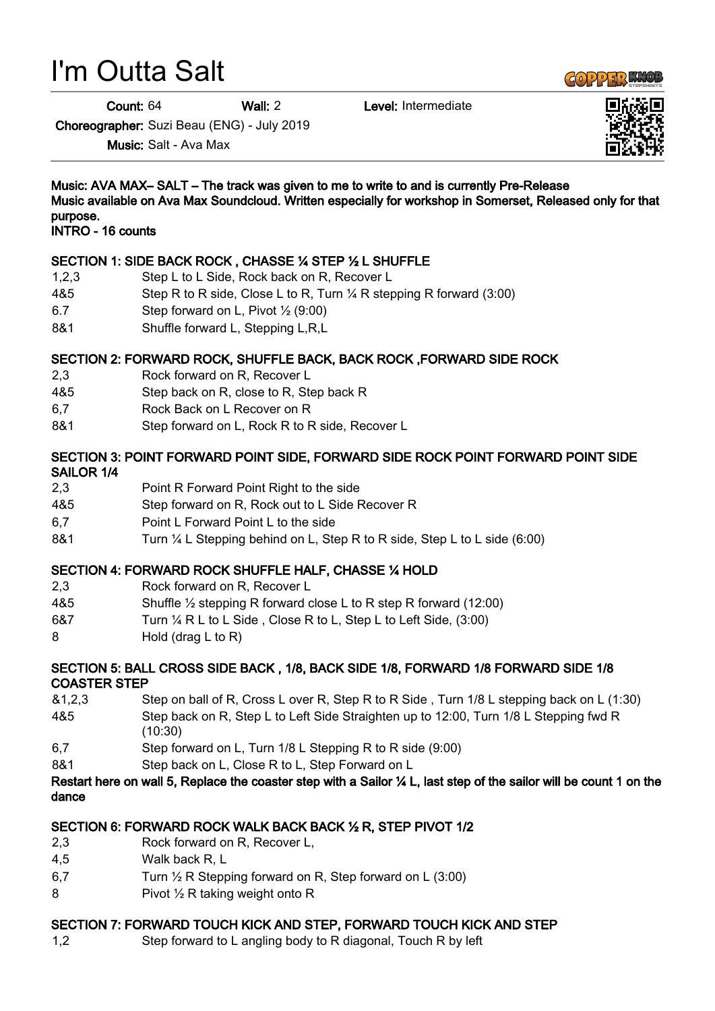# I'm Outta Salt

Count: 64 Wall: 2 Level: Intermediate

Choreographer: Suzi Beau (ENG) - July 2019

Music: Salt - Ava Max

Music: AVA MAX– SALT – The track was given to me to write to and is currently Pre-Release Music available on Ava Max Soundcloud. Written especially for workshop in Somerset, Released only for that purpose. INTRO - 16 counts

# SECTION 1: SIDE BACK ROCK , CHASSE ¼ STEP ½ L SHUFFLE

- 1,2,3 Step L to L Side, Rock back on R, Recover L
- 4&5 Step R to R side, Close L to R, Turn ¼ R stepping R forward (3:00)
- 6.7 Step forward on L, Pivot  $\frac{1}{2}$  (9:00)
- 8&1 Shuffle forward L, Stepping L, R, L

# SECTION 2: FORWARD ROCK, SHUFFLE BACK, BACK ROCK ,FORWARD SIDE ROCK

- 2,3 Rock forward on R, Recover L
- 4&5 Step back on R, close to R, Step back R
- 6,7 Rock Back on L Recover on R
- 8&1 Step forward on L, Rock R to R side, Recover L

### SECTION 3: POINT FORWARD POINT SIDE, FORWARD SIDE ROCK POINT FORWARD POINT SIDE SAILOR 1/4

- 2,3 Point R Forward Point Right to the side
- 4&5 Step forward on R, Rock out to L Side Recover R
- 6,7 Point L Forward Point L to the side
- 8&1 Turn ¼ L Stepping behind on L, Step R to R side, Step L to L side (6:00)

#### SECTION 4: FORWARD ROCK SHUFFLE HALF, CHASSE ¼ HOLD

- 2,3 Rock forward on R, Recover L
- 4&5 Shuffle ½ stepping R forward close L to R step R forward (12:00)
- 6&7 Turn ¼ R L to L Side , Close R to L, Step L to Left Side, (3:00)
- 8 Hold (drag L to R)

# SECTION 5: BALL CROSS SIDE BACK , 1/8, BACK SIDE 1/8, FORWARD 1/8 FORWARD SIDE 1/8 COASTER STEP

- &1,2,3 Step on ball of R, Cross L over R, Step R to R Side , Turn 1/8 L stepping back on L (1:30) 4&5 Step back on R, Step L to Left Side Straighten up to 12:00, Turn 1/8 L Stepping fwd R
- (10:30)
- 6,7 Step forward on L, Turn 1/8 L Stepping R to R side (9:00)
- 8&1 Step back on L, Close R to L, Step Forward on L

#### Restart here on wall 5, Replace the coaster step with a Sailor ¼ L, last step of the sailor will be count 1 on the dance

#### SECTION 6: FORWARD ROCK WALK BACK BACK ½ R, STEP PIVOT 1/2

- 2,3 Rock forward on R, Recover L,
- 4,5 Walk back R, L
- 6,7 Turn ½ R Stepping forward on R, Step forward on L (3:00)
- 8 **Pivot 1/2 R taking weight onto R**

#### SECTION 7: FORWARD TOUCH KICK AND STEP, FORWARD TOUCH KICK AND STEP

1,2 Step forward to L angling body to R diagonal, Touch R by left